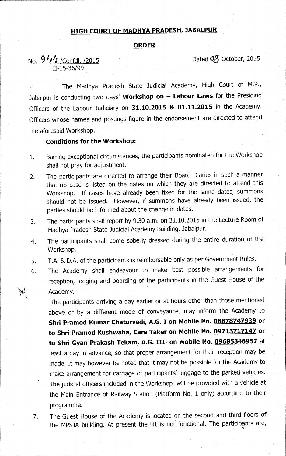## **HIGH COURT OF MADHYA PRADESH, JABALPUR**

#### **ORDER**

# No.  $944$  /Confdl. /2015 Dated 08 October, 2015 11-15-36/99

The Madhya Pradesh State Judicial Academy, High Court of M.P., Jabalpur is conducting two days' **Workshop on — Labour Laws** for the Presiding Officers of the Labour Judiciary on **31.10.2015 & 01.11.2015** in the Academy. Officers whose names and postings figure in the endorsement are directed to attend the aforesaid Workshop.

### **Conditions for the Workshop:**

- 1. Barring exceptional circumstances, the participants nominated for the Workshop shall not pray for adjustment.
- 2. The participants are directed to arrange their Board Diaries in such a manner that no case is listed on the dates on which they are directed to attend this Workshop. If cases have already been fixed for the same dates, summons should not be issued. However, if summons have already been issued, the parties should be informed about the change in dates.
- 3. The participants shall report by 9.30 a.m. on 31.10.2015 in the Lecture Room of • Madhya Pradesh State Judicial Academy Building, Jabalpur.
- 4. The participants shall come soberly dressed during the entire duration of the Workshop.
- T.A. & D.A. of the participants is reimbursable only as per Government Rules. 5.
- 6. The Academy shall endeavour to make best possible arrangements for reception, lodging and boarding of the participants in the Guest House of the Academy.

The participants arriving a day earlier or at hours other than those mentioned above or by a different mode of conveyance, may inform the Academy to **Shri Pramod Kumar Chaturvedi, A.G. I on Mobile No. 08878747939 or to Shri Pramod Kushwaha, Care Taker on Mobile No. 09713717147 or to Shri Gyan Prakash Tekam, A.G. III on Mobile No. 09685346957** at least a day in advance, so that proper arrangement for their reception may be made. It may however be noted that it may not be possible for the Academy to make arrangement for carriage of participants' luggage to the parked vehicles. The judicial officers included in the Workshop will be provided with a vehicle at the Main Entrance of Railway Station (Platform No. 1 only) according to their programme.

7. The Guest House of the Academy is located on the second and third floors of the MPSJA building. At present the lift is not functional. The participants are,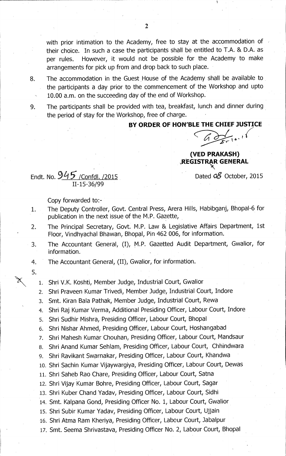with prior intimation to the Academy, free to stay at the accommodation of their choice. In such a case the participants shall be entitled to T.A. & D.A. as per rules. However, it would not be possible for the Academy to make arrangements for pick up from and drop back to such place.

- 8. The accommodation in the Guest House of the Academy shall be available to the participants a day prior to the commencement of the Workshop and upto 10.00 a.m. on the succeeding day of the end of Workshop.
- 9. The participants shall be provided with tea, breakfast, lunch and dinner during the period of stay for the Workshop, free of charge.

## **BY ORDER OF HON'BLE THE CHIEF JUSTICE**

**(VED PRAKASH) JR:EGISTIT GENERAL** 

Endt. No.  $945$  /Confdl. /2015

Copy forwarded to:-

11-15-36/99

- 1. The Deputy Controller, Govt. Central Press, Arera Hills, Habibganj, Bhopal-6 for publication in the next issue of the M.P. Gazette,
- 2. The Principal Secretary, Govt. M.P. Law & Legislative Affairs Department, 1st Floor, Vindhyachal Bhawan, Bhopal, Pin 462 006, for information.
- 3. The Accountant General, (I), M.P. Gazetted Audit Department, Gwalior, for information.
- 4. The Accountant General, (II), Gwalior, for information.
- 5.

1. Shri V.K. Koshti, Member Judge, Industrial Court, Gwalior

- 2. Shri Praveen Kumar Trivedi, Member Judge, Industrial Court, Indore
- 3. Smt. Kiran Bala Pathak, Member Judge, Industrial Court, Rewa
- 4. Shri Raj Kumar Verma, Additional Presiding Officer, Labour Court, Indore
- 5. Shri Sudhir Mishra, Presiding Officer, Labour Court, Bhopal
- 6. Shri Nishar Ahmed, Presiding Officer, Labour Court, Hoshangabad
- 7. Shri Mahesh Kumar Chouhan, Presiding Officer, Labour Court, Mandsaur
- 8. Shri Anand Kumar Sehlam, Presiding Officer, Labour Court, Chhindwara
- 9. Shri Ravikant Swarnakar, Presiding Officer, Labour Court, Khandwa
- 10. Shri Sachin Kumar Vijaywargiya, Presiding Officer, Labour Court, Dewas
- 11. Shri Saheb Rao Chare, Presiding Officer, Labour Court, Satna
- 12. Shri Vijay Kumar Bohre, Presiding Officer, Labour Court, Sagar
- 13. Shri Kuber Chand Yadav, Presiding Officer, Labour Court, Sidhi
- 14. Smt. Kalpana Gond, Presiding Officer No. 1, Labour Court, Gwalior
- 15. Shri Subir Kumar Yadav, Presiding Officer, Labour Court, Ujjain
- 16. Shri Atma Ram Kheriya, Presiding Officer, Labour Court, Jabalpur
- 17. Smt. Seema Shrivastava, Presiding Officer No. 2, Labour Court, Bhopal